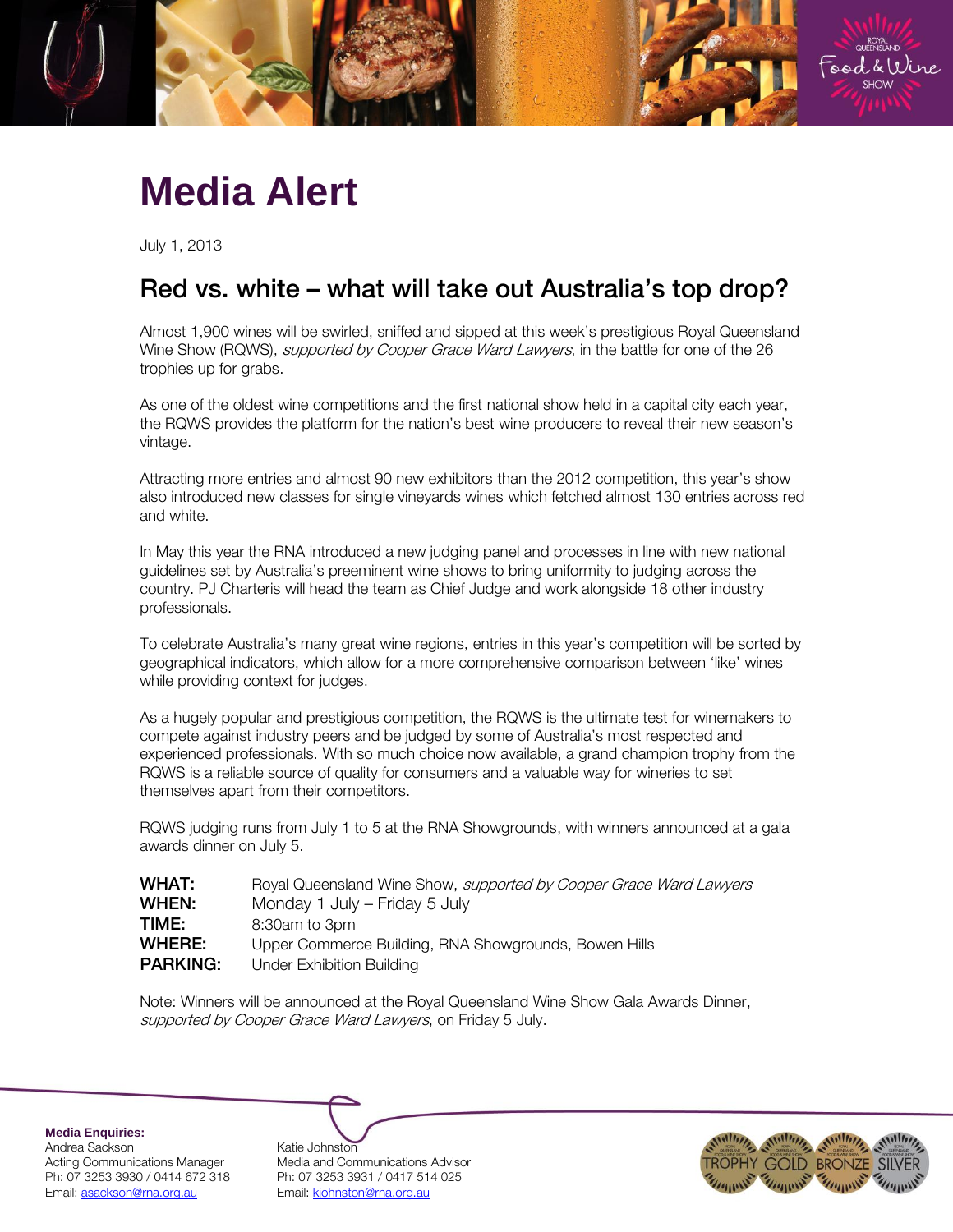

## **Media Alert**

July 1, 2013

# Red vs. white – what will take out Australia's top drop?

Almost 1,900 wines will be swirled, sniffed and sipped at this week's prestigious Royal Queensland Wine Show (RQWS), *supported by Cooper Grace Ward Lawyers*, in the battle for one of the 26 trophies up for grabs.

As one of the oldest wine competitions and the first national show held in a capital city each year, the RQWS provides the platform for the nation's best wine producers to reveal their new season's vintage.

Attracting more entries and almost 90 new exhibitors than the 2012 competition, this year's show also introduced new classes for single vineyards wines which fetched almost 130 entries across red and white.

In May this year the RNA introduced a new judging panel and processes in line with new national guidelines set by Australia's preeminent wine shows to bring uniformity to judging across the country. PJ Charteris will head the team as Chief Judge and work alongside 18 other industry professionals.

To celebrate Australia's many great wine regions, entries in this year's competition will be sorted by geographical indicators, which allow for a more comprehensive comparison between 'like' wines while providing context for judges.

As a hugely popular and prestigious competition, the RQWS is the ultimate test for winemakers to compete against industry peers and be judged by some of Australia's most respected and experienced professionals. With so much choice now available, a grand champion trophy from the RQWS is a reliable source of quality for consumers and a valuable way for wineries to set themselves apart from their competitors.

RQWS judging runs from July 1 to 5 at the RNA Showgrounds, with winners announced at a gala awards dinner on July 5.

| Royal Queensland Wine Show, <i>supported by Cooper Grace Ward Lawyers</i>                 |
|-------------------------------------------------------------------------------------------|
| Monday 1 July – Friday 5 July                                                             |
| 8:30am to 3pm                                                                             |
| Upper Commerce Building, RNA Showgrounds, Bowen Hills<br><b>Under Exhibition Building</b> |
|                                                                                           |

Note: Winners will be announced at the Royal Queensland Wine Show Gala Awards Dinner, supported by Cooper Grace Ward Lawyers, on Friday 5 July.

**Media Enquiries:** Andrea Sackson Katie Johnston Email: asackson@rna.org.au Fmail: kjohnston@rna.org.au

Acting Communications Manager Media and Communications Advisor Ph: 07 3253 3930 / 0414 672 318 Ph: 07 3253 3931 / 0417 514 025